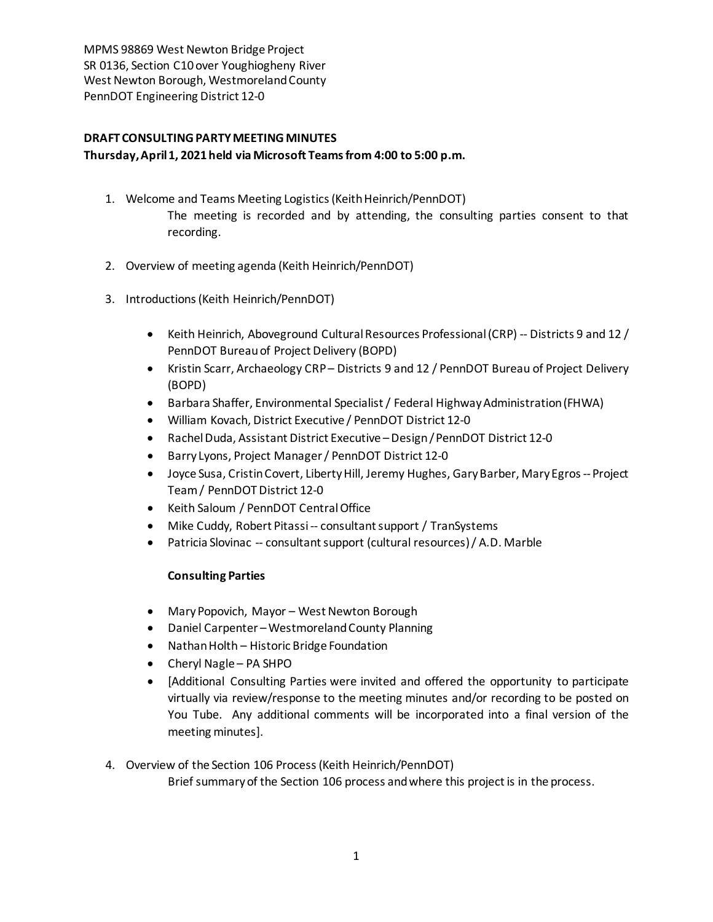## **DRAFT CONSULTING PARTY MEETING MINUTES Thursday, April1, 2021 held via Microsoft Teams from 4:00 to 5:00 p.m.**

- 1. Welcome and Teams Meeting Logistics(Keith Heinrich/PennDOT) The meeting is recorded and by attending, the consulting parties consent to that recording.
- 2. Overview of meeting agenda (Keith Heinrich/PennDOT)
- 3. Introductions(Keith Heinrich/PennDOT)
	- Keith Heinrich, Aboveground Cultural Resources Professional (CRP) -- Districts 9 and 12 / PennDOT Bureau of Project Delivery (BOPD)
	- Kristin Scarr, Archaeology CRP– Districts 9 and 12 / PennDOT Bureau of Project Delivery (BOPD)
	- Barbara Shaffer, Environmental Specialist / Federal Highway Administration (FHWA)
	- William Kovach, District Executive / PennDOT District 12-0
	- Rachel Duda, Assistant District Executive –Design / PennDOT District 12-0
	- Barry Lyons, Project Manager/ PennDOT District 12-0
	- Joyce Susa, Cristin Covert, Liberty Hill, Jeremy Hughes, Gary Barber, Mary Egros--Project Team/ PennDOT District 12-0
	- Keith Saloum / PennDOT Central Office
	- Mike Cuddy, Robert Pitassi -- consultant support / TranSystems
	- Patricia Slovinac -- consultant support (cultural resources)/ A.D. Marble

## **Consulting Parties**

- Mary Popovich, Mayor West Newton Borough
- Daniel Carpenter –Westmoreland County Planning
- Nathan Holth Historic Bridge Foundation
- Cheryl Nagle PA SHPO
- [Additional Consulting Parties were invited and offered the opportunity to participate virtually via review/response to the meeting minutes and/or recording to be posted on You Tube. Any additional comments will be incorporated into a final version of the meeting minutes].
- 4. Overview of the Section 106 Process(Keith Heinrich/PennDOT)

Brief summary of the Section 106 process and where this project is in the process.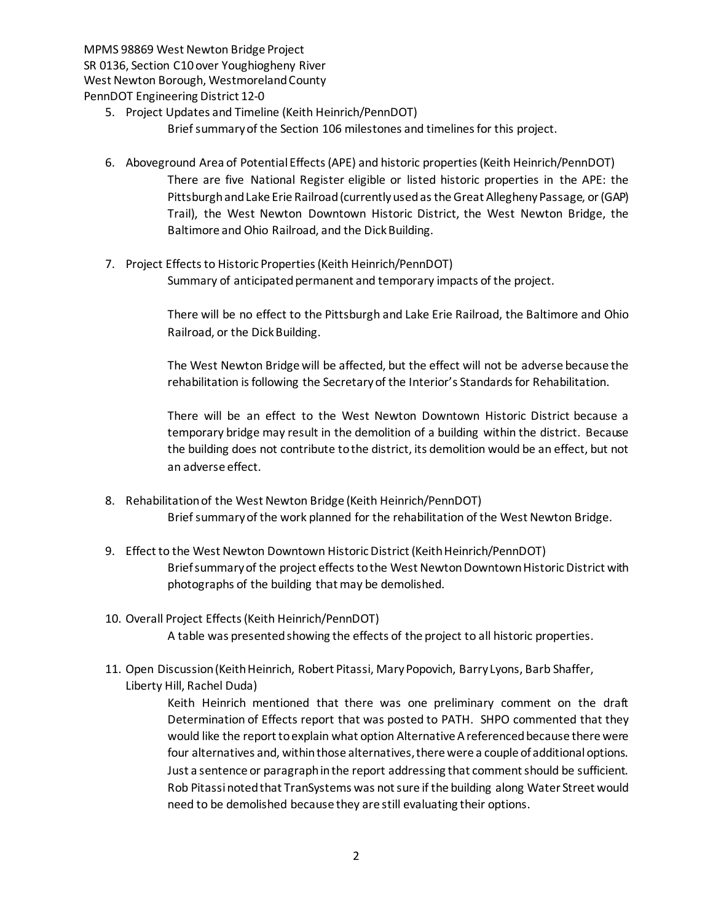- 5. Project Updates and Timeline (Keith Heinrich/PennDOT)
	- Brief summary of the Section 106 milestones and timelines for this project.
- 6. Aboveground Area of Potential Effects (APE) and historic properties(Keith Heinrich/PennDOT) There are five National Register eligible or listed historic properties in the APE: the Pittsburgh and Lake Erie Railroad (currently used as the Great Allegheny Passage, or(GAP) Trail), the West Newton Downtown Historic District, the West Newton Bridge, the Baltimore and Ohio Railroad, and the Dick Building.
- 7. Project Effects to Historic Properties (Keith Heinrich/PennDOT) Summary of anticipated permanent and temporary impacts of the project.

There will be no effect to the Pittsburgh and Lake Erie Railroad, the Baltimore and Ohio Railroad, or the Dick Building.

The West Newton Bridge will be affected, but the effect will not be adverse because the rehabilitation isfollowing the Secretary of the Interior's Standards for Rehabilitation.

There will be an effect to the West Newton Downtown Historic District because a temporary bridge may result in the demolition of a building within the district. Because the building does not contribute to the district, its demolition would be an effect, but not an adverse effect.

- 8. Rehabilitation of the West Newton Bridge (Keith Heinrich/PennDOT) Brief summary of the work planned for the rehabilitation of the West Newton Bridge.
- 9. Effect to the West Newton Downtown Historic District (Keith Heinrich/PennDOT) Brief summary of the project effects to the West Newton Downtown Historic District with photographs of the building that may be demolished.
- 10. Overall Project Effects(Keith Heinrich/PennDOT) A table was presented showing the effects of the project to all historic properties.
- 11. Open Discussion (Keith Heinrich, Robert Pitassi, Mary Popovich, Barry Lyons, Barb Shaffer, Liberty Hill, Rachel Duda)

Keith Heinrich mentioned that there was one preliminary comment on the draft Determination of Effects report that was posted to PATH. SHPO commented that they would like the report to explain what option Alternative A referenced because there were four alternatives and, within those alternatives, there were a couple of additional options. Just a sentence or paragraph in the report addressing that comment should be sufficient. Rob Pitassi noted that TranSystems was not sure if the building along Water Street would need to be demolished because they are still evaluating their options.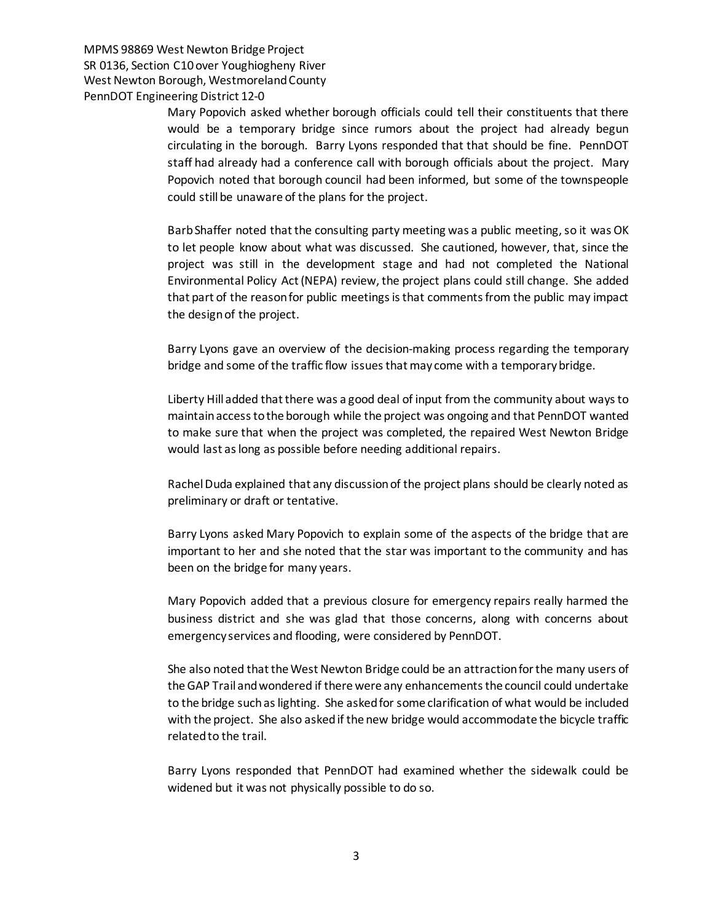> Mary Popovich asked whether borough officials could tell their constituents that there would be a temporary bridge since rumors about the project had already begun circulating in the borough. Barry Lyons responded that that should be fine. PennDOT staff had already had a conference call with borough officials about the project. Mary Popovich noted that borough council had been informed, but some of the townspeople could still be unaware of the plans for the project.

> Barb Shaffer noted that the consulting party meeting was a public meeting, so it was OK to let people know about what was discussed. She cautioned, however, that, since the project was still in the development stage and had not completed the National Environmental Policy Act (NEPA) review, the project plans could still change. She added that part of the reason for public meetingsis that comments from the public may impact the design of the project.

> Barry Lyons gave an overview of the decision-making process regarding the temporary bridge and some of the traffic flow issues that may come with a temporary bridge.

> Liberty Hill added that there was a good deal of input from the community about ways to maintain access to the borough while the project was ongoing and that PennDOT wanted to make sure that when the project was completed, the repaired West Newton Bridge would last as long as possible before needing additional repairs.

> Rachel Duda explained that any discussion of the project plans should be clearly noted as preliminary or draft or tentative.

> Barry Lyons asked Mary Popovich to explain some of the aspects of the bridge that are important to her and she noted that the star was important to the community and has been on the bridge for many years.

> Mary Popovich added that a previous closure for emergency repairs really harmed the business district and she was glad that those concerns, along with concerns about emergency services and flooding, were considered by PennDOT.

> She also noted that the West Newton Bridge could be an attraction for the many users of the GAP Trail and wondered if there were any enhancements the council could undertake to the bridge such aslighting. She asked for some clarification of what would be included with the project. She also asked if the new bridge would accommodate the bicycle traffic related to the trail.

> Barry Lyons responded that PennDOT had examined whether the sidewalk could be widened but it was not physically possible to do so.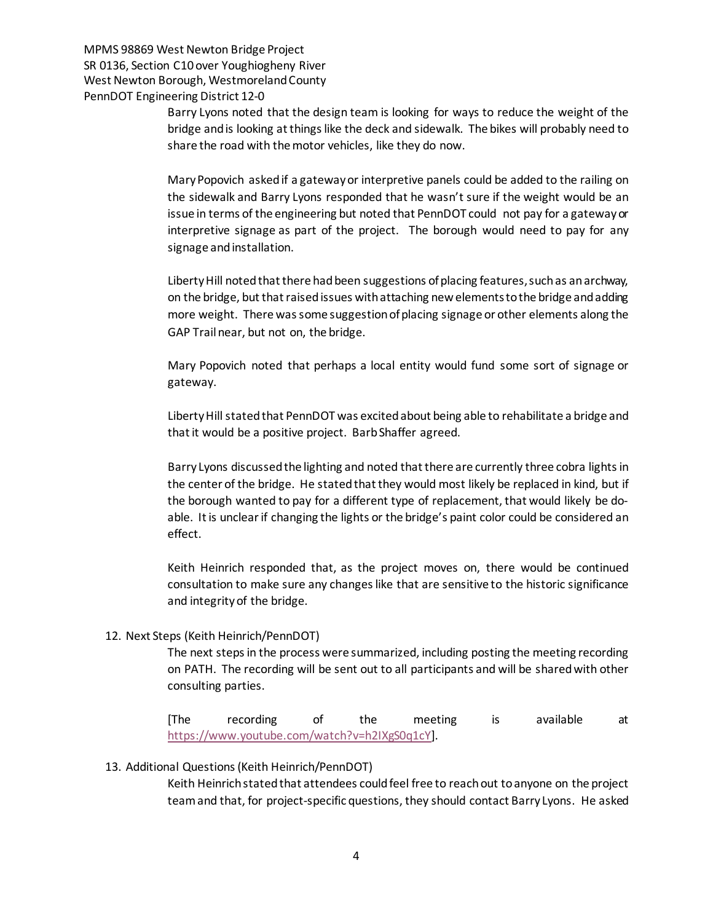> Barry Lyons noted that the design team is looking for ways to reduce the weight of the bridge and is looking at things like the deck and sidewalk. The bikes will probably need to share the road with the motor vehicles, like they do now.

> Mary Popovich asked if a gateway or interpretive panels could be added to the railing on the sidewalk and Barry Lyons responded that he wasn't sure if the weight would be an issue in terms of the engineering but noted that PennDOT could not pay for a gateway or interpretive signage as part of the project. The borough would need to pay for any signage and installation.

> Liberty Hill noted that there had been suggestions of placing features, such as an archway, on the bridge, but that raised issues with attaching new elements to the bridge and adding more weight. There was some suggestion of placing signage or other elements along the GAP Trail near, but not on, the bridge.

> Mary Popovich noted that perhaps a local entity would fund some sort of signage or gateway.

> Liberty Hill stated that PennDOT was excited about being able to rehabilitate a bridge and that it would be a positive project. Barb Shaffer agreed.

> Barry Lyons discussed the lighting and noted that there are currently three cobra lights in the center of the bridge. He stated that they would most likely be replaced in kind, but if the borough wanted to pay for a different type of replacement, that would likely be doable. It is unclear if changing the lights or the bridge's paint color could be considered an effect.

> Keith Heinrich responded that, as the project moves on, there would be continued consultation to make sure any changes like that are sensitive to the historic significance and integrityof the bridge.

## 12. Next Steps (Keith Heinrich/PennDOT)

The next steps in the process were summarized, including posting the meeting recording on PATH. The recording will be sent out to all participants and will be sharedwith other consulting parties.

[The recording of the meeting is available at [https://www.youtube.com/watch?v=h2IXgS0q1cY\]](https://www.youtube.com/watch?v=h2IXgS0q1cY).

## 13. Additional Questions (Keith Heinrich/PennDOT)

Keith Heinrich stated that attendees could feel free to reach out to anyone on the project team and that, for project-specific questions, they should contact Barry Lyons. He asked